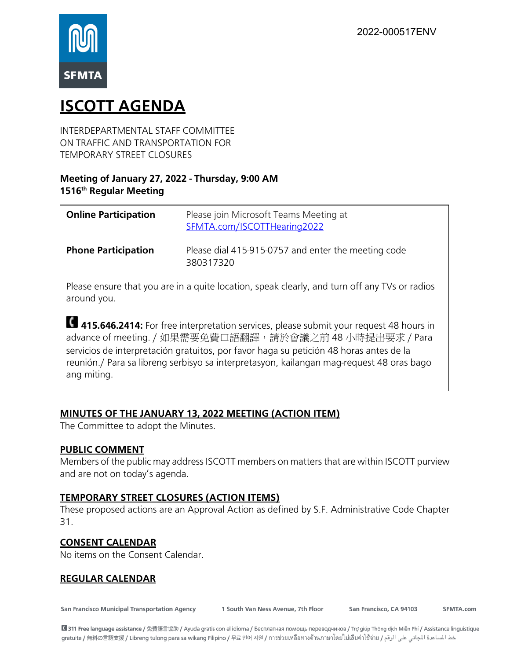

# **ISCOTT AGENDA**

INTERDEPARTMENTAL STAFF COMMITTEE ON TRAFFIC AND TRANSPORTATION FOR TEMPORARY STREET CLOSURES

# **Meeting of January 27, 2022 - Thursday, 9:00 AM 1516th Regular Meeting**

| <b>Online Participation</b> | Please join Microsoft Teams Meeting at<br>SFMTA.com/ISCOTTHearing2022 |
|-----------------------------|-----------------------------------------------------------------------|
| <b>Phone Participation</b>  | Please dial 415-915-0757 and enter the meeting code<br>380317320      |

Please ensure that you are in a quite location, speak clearly, and turn off any TVs or radios around you.

**415.646.2414:** For free interpretation services, please submit your request 48 hours in advance of meeting. / 如果需要免費口語翻譯,請於會議之前 48 小時提出要求 / Para servicios de interpretación gratuitos, por favor haga su petición 48 horas antes de la reunión./ Para sa libreng serbisyo sa interpretasyon, kailangan mag-request 48 oras bago ang miting.

# **MINUTES OF THE JANUARY 13, 2022 MEETING (ACTION ITEM)**

The Committee to adopt the Minutes.

## **PUBLIC COMMENT**

Members of the public may address ISCOTT members on matters that are within ISCOTT purview and are not on today's agenda.

## **TEMPORARY STREET CLOSURES (ACTION ITEMS)**

These proposed actions are an Approval Action as defined by S.F. Administrative Code Chapter 31.

## **CONSENT CALENDAR**

No items on the Consent Calendar.

## **REGULAR CALENDAR**

**San Francisco Municipal Transportation Agency** 

1 South Van Ness Avenue, 7th Floor

San Francisco, CA 94103

SFMTA.com

■ 311 Free language assistance / 免費語言協助 / Ayuda gratis con el idioma / Бесплатная помощь переводчиков / Trợ giúp Thông dịch Miễn Phí / Assistance linguistique gratuite / 無料の言語支援 / Libreng tulong para sa wikang Filipino / 무료 언어 지원 / การช่วยเหลือทางด้านภาษาโดยไม่เสียค่าไซ้จ่าย / خط المساعدة المجاني على الرقم / gratuite / 無料の言語支援 / Libreng tulong para sa wikang Filipino / 무료 언어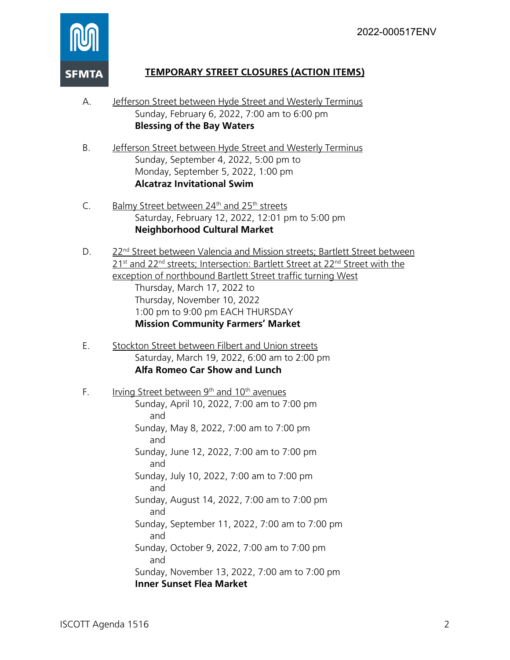

# **TEMPORARY STREET CLOSURES (ACTION ITEMS)**

- A. Jefferson Street between Hyde Street and Westerly Terminus Sunday, February 6, 2022, 7:00 am to 6:00 pm **Blessing of the Bay Waters**
- B. Jefferson Street between Hyde Street and Westerly Terminus Sunday, September 4, 2022, 5:00 pm to Monday, September 5, 2022, 1:00 pm **Alcatraz Invitational Swim**
- C. Balmy Street between 24<sup>th</sup> and 25<sup>th</sup> streets Saturday, February 12, 2022, 12:01 pm to 5:00 pm **Neighborhood Cultural Market**
- D. 22nd Street between Valencia and Mission streets; Bartlett Street between 21<sup>st</sup> and 22<sup>nd</sup> streets; Intersection: Bartlett Street at 22<sup>nd</sup> Street with the exception of northbound Bartlett Street traffic turning West Thursday, March 17, 2022 to Thursday, November 10, 2022 1:00 pm to 9:00 pm EACH THURSDAY **Mission Community Farmers' Market**
- E. Stockton Street between Filbert and Union streets Saturday, March 19, 2022, 6:00 am to 2:00 pm **Alfa Romeo Car Show and Lunch**
- F. Irving Street between  $9<sup>th</sup>$  and  $10<sup>th</sup>$  avenues Sunday, April 10, 2022, 7:00 am to 7:00 pm and Sunday, May 8, 2022, 7:00 am to 7:00 pm and Sunday, June 12, 2022, 7:00 am to 7:00 pm and Sunday, July 10, 2022, 7:00 am to 7:00 pm and Sunday, August 14, 2022, 7:00 am to 7:00 pm and Sunday, September 11, 2022, 7:00 am to 7:00 pm and Sunday, October 9, 2022, 7:00 am to 7:00 pm and Sunday, November 13, 2022, 7:00 am to 7:00 pm **Inner Sunset Flea Market**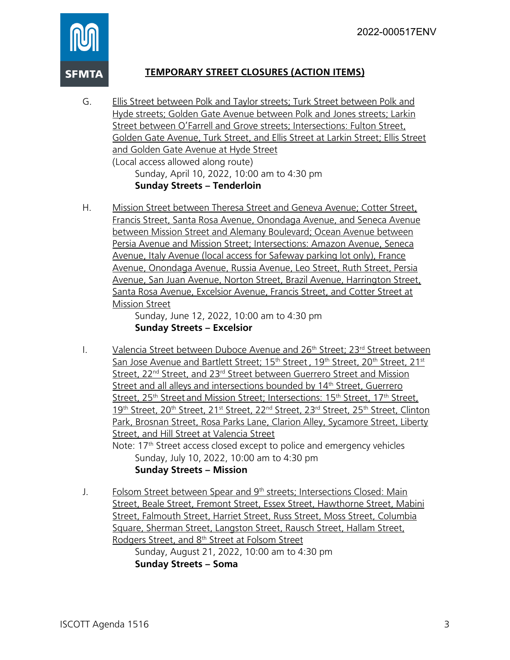

# **TEMPORARY STREET CLOSURES (ACTION ITEMS)**

G. Ellis Street between Polk and Taylor streets; Turk Street between Polk and Hyde streets; Golden Gate Avenue between Polk and Jones streets; Larkin Street between O'Farrell and Grove streets; Intersections: Fulton Street, Golden Gate Avenue, Turk Street, and Ellis Street at Larkin Street; Ellis Street and Golden Gate Avenue at Hyde Street (Local access allowed along route)

Sunday, April 10, 2022, 10:00 am to 4:30 pm **Sunday Streets – Tenderloin**

H. Mission Street between Theresa Street and Geneva Avenue; Cotter Street, Francis Street, Santa Rosa Avenue, Onondaga Avenue, and Seneca Avenue between Mission Street and Alemany Boulevard; Ocean Avenue between Persia Avenue and Mission Street; Intersections: Amazon Avenue, Seneca Avenue, Italy Avenue (local access for Safeway parking lot only), France Avenue, Onondaga Avenue, Russia Avenue, Leo Street, Ruth Street, Persia Avenue, San Juan Avenue, Norton Street, Brazil Avenue, Harrington Street, Santa Rosa Avenue, Excelsior Avenue, Francis Street, and Cotter Street at Mission Street

Sunday, June 12, 2022, 10:00 am to 4:30 pm **Sunday Streets – Excelsior**

- I. Valencia Street between Duboce Avenue and  $26<sup>th</sup>$  Street; 23<sup>rd</sup> Street between San Jose Avenue and Bartlett Street; 15<sup>th</sup> Street, 19<sup>th</sup> Street, 20<sup>th</sup> Street, 21<sup>st</sup> Street, 22<sup>nd</sup> Street, and 23<sup>rd</sup> Street between Guerrero Street and Mission Street and all alleys and intersections bounded by 14<sup>th</sup> Street, Guerrero Street, 25<sup>th</sup> Street and Mission Street; Intersections: 15<sup>th</sup> Street, 17<sup>th</sup> Street, 19<sup>th</sup> Street, 20<sup>th</sup> Street, 21<sup>st</sup> Street, 22<sup>nd</sup> Street, 23<sup>rd</sup> Street, 25<sup>th</sup> Street, Clinton Park, Brosnan Street, Rosa Parks Lane, Clarion Alley, Sycamore Street, Liberty Street, and Hill Street at Valencia Street Note: 17<sup>th</sup> Street access closed except to police and emergency vehicles Sunday, July 10, 2022, 10:00 am to 4:30 pm **Sunday Streets – Mission**
- J. Folsom Street between Spear and 9<sup>th</sup> streets; Intersections Closed: Main Street, Beale Street, Fremont Street, Essex Street, Hawthorne Street, Mabini Street, Falmouth Street, Harriet Street, Russ Street, Moss Street, Columbia Square, Sherman Street, Langston Street, Rausch Street, Hallam Street, Rodgers Street, and 8th Street at Folsom Street Sunday, August 21, 2022, 10:00 am to 4:30 pm

**Sunday Streets – Soma**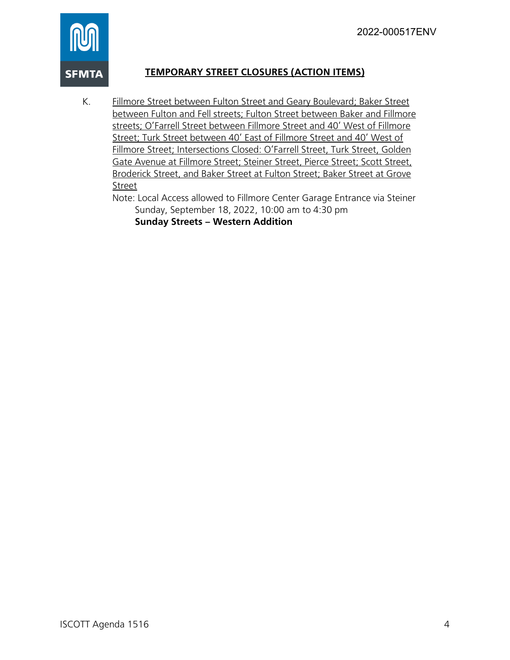

# **TEMPORARY STREET CLOSURES (ACTION ITEMS)**

K. Fillmore Street between Fulton Street and Geary Boulevard; Baker Street between Fulton and Fell streets; Fulton Street between Baker and Fillmore streets; O'Farrell Street between Fillmore Street and 40' West of Fillmore Street; Turk Street between 40' East of Fillmore Street and 40' West of Fillmore Street; Intersections Closed: O'Farrell Street, Turk Street, Golden Gate Avenue at Fillmore Street; Steiner Street, Pierce Street; Scott Street, Broderick Street, and Baker Street at Fulton Street; Baker Street at Grove Street

Note: Local Access allowed to Fillmore Center Garage Entrance via Steiner Sunday, September 18, 2022, 10:00 am to 4:30 pm **Sunday Streets – Western Addition**

ISCOTT Agenda 1516 4